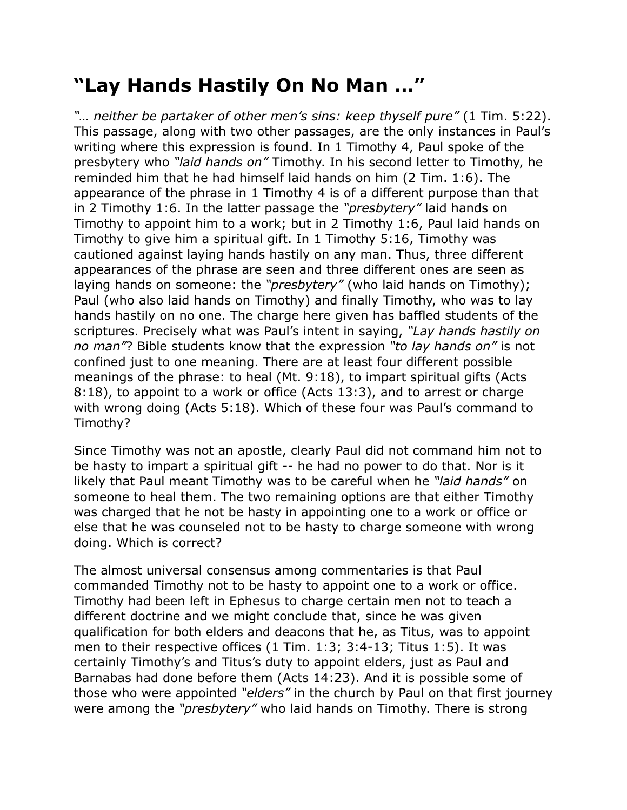## **"Lay Hands Hastily On No Man …"**

*"… neither be partaker of other men's sins: keep thyself pure"* (1 Tim. 5:22). This passage, along with two other passages, are the only instances in Paul's writing where this expression is found. In 1 Timothy 4, Paul spoke of the presbytery who *"laid hands on"* Timothy. In his second letter to Timothy, he reminded him that he had himself laid hands on him (2 Tim. 1:6). The appearance of the phrase in 1 Timothy 4 is of a different purpose than that in 2 Timothy 1:6. In the latter passage the *"presbytery"* laid hands on Timothy to appoint him to a work; but in 2 Timothy 1:6, Paul laid hands on Timothy to give him a spiritual gift. In 1 Timothy 5:16, Timothy was cautioned against laying hands hastily on any man. Thus, three different appearances of the phrase are seen and three different ones are seen as laying hands on someone: the *"presbytery"* (who laid hands on Timothy); Paul (who also laid hands on Timothy) and finally Timothy, who was to lay hands hastily on no one. The charge here given has baffled students of the scriptures. Precisely what was Paul's intent in saying, *"Lay hands hastily on no man"*? Bible students know that the expression *"to lay hands on"* is not confined just to one meaning. There are at least four different possible meanings of the phrase: to heal (Mt. 9:18), to impart spiritual gifts (Acts 8:18), to appoint to a work or office (Acts 13:3), and to arrest or charge with wrong doing (Acts 5:18). Which of these four was Paul's command to Timothy?

Since Timothy was not an apostle, clearly Paul did not command him not to be hasty to impart a spiritual gift -- he had no power to do that. Nor is it likely that Paul meant Timothy was to be careful when he *"laid hands"* on someone to heal them. The two remaining options are that either Timothy was charged that he not be hasty in appointing one to a work or office or else that he was counseled not to be hasty to charge someone with wrong doing. Which is correct?

The almost universal consensus among commentaries is that Paul commanded Timothy not to be hasty to appoint one to a work or office. Timothy had been left in Ephesus to charge certain men not to teach a different doctrine and we might conclude that, since he was given qualification for both elders and deacons that he, as Titus, was to appoint men to their respective offices (1 Tim. 1:3; 3:4-13; Titus 1:5). It was certainly Timothy's and Titus's duty to appoint elders, just as Paul and Barnabas had done before them (Acts 14:23). And it is possible some of those who were appointed *"elders"* in the church by Paul on that first journey were among the *"presbytery"* who laid hands on Timothy. There is strong